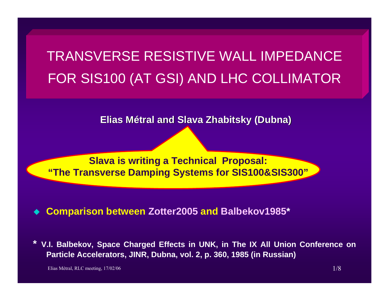# TRANSVERSE RESISTIVE WALL IMPEDANCE FOR SIS100 (AT GSI) AND LHC COLLIMATOR

**Elias Métral and Slava Zhabitsky Zhabitsky (Dubna)** 

**Slava is writing a Technical Proposal: "The Transverse Damping Systems for SIS100&SIS300"**

 $\blacklozenge$ **Comparison between Zotter2005 and Balbekov1985\***

**\* V.I. Balbekov, Space Charged Effects in UNK, in The IX All Union Conference on Particle Accelerators, JINR, Dubna, vol. 2, p. 360, 1985 (in Russian)**

Elias Métral, RLC meeting,  $17/02/06$  1/8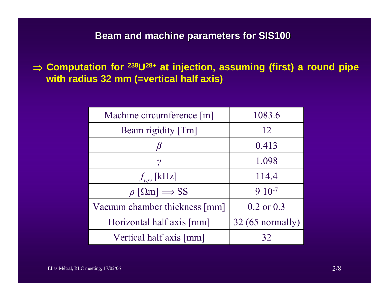### **Beam and machine parameters for SIS100**

⇒ **Computation for 238U28+ at injection, assuming (first) a round pipe with radius 32 mm (=vertical half axis)**

| Machine circumference [m]          | 1083.6            |
|------------------------------------|-------------------|
| Beam rigidity [Tm]                 | 12                |
| B                                  | 0.413             |
| γ                                  | 1.098             |
| $f_{rev}$ [kHz]                    | 114.4             |
| $\rho$ [ $\Omega$ m] $\implies$ SS | $910^{-7}$        |
| Vacuum chamber thickness [mm]      | $0.2$ or $0.3$    |
| Horizontal half axis [mm]          | $32(65$ normally) |
| Vertical half axis [mm]            | 32                |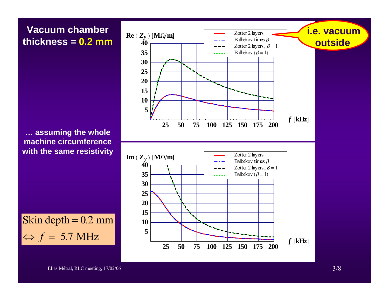

**… assuming the whole machine circumference with the same resistivity**



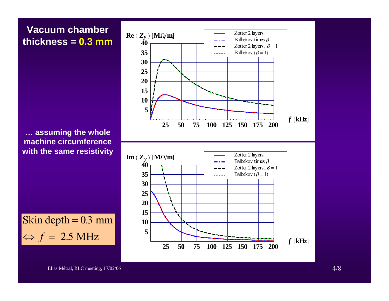

**… assuming the whole machine circumference with the same resistivity**





Elias Métral, RLC meeting,  $17/02/06$  4/8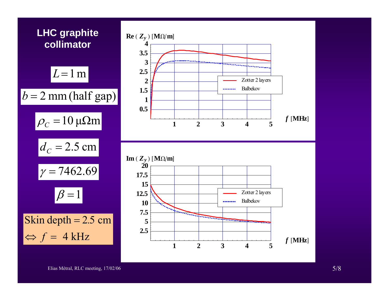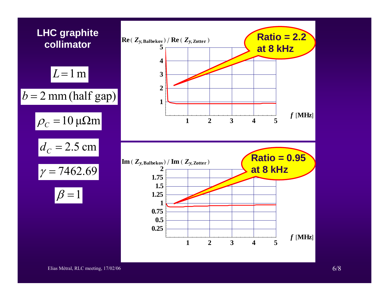

Elias Métral, RLC meeting, 17/02/06 6/8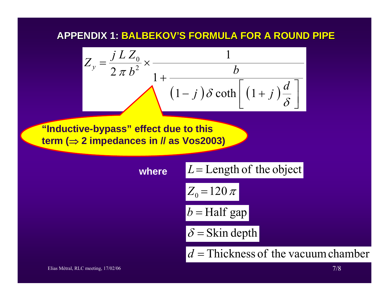### **APPENDIX 1: APPENDIX 1: BALBEKOV BALBEKOV'S FORMULA FOR A ROUND PIPE S FORMULA FOR A ROUND PIPE**



**"Inductive-bypass" effect due to this term (**<sup>⇒</sup> **2 impedances in // as Vos2003)**

**where**

$$
L = \text{Length of the object}
$$
  

$$
Z_0 = 120 \pi
$$
  

$$
b = \text{Half gap}
$$
  

$$
\delta = \text{Skin depth}
$$

*d* <sup>=</sup> Thickness of the vacuumchamber